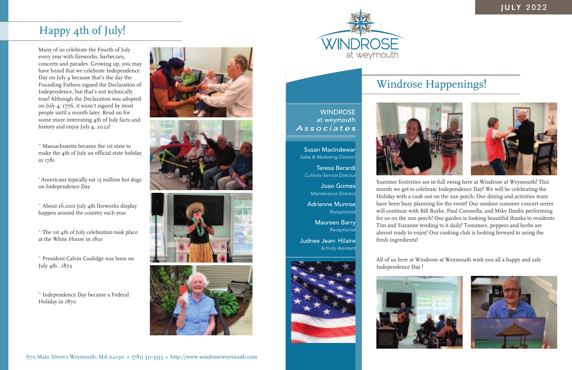



**WINDROSE** at weymouth *Associates*

Many of us celebrate the Fourth of July every year with fireworks, barbecues, concerts and parades. Growing up, you may have heard that we celebrate Independence Day on July 4 because that's the day the Founding Fathers signed the Declaration of Independence, but that's not technically true! Although the Declaration was adopted on July 4, 1776, it wasn't signed by most people until a month later. Read on for some more interesting 4th of July facts and history and enjoy July 4, 2022!

~ Massachusetts became the 1st state to make the 4th of July an official state holiday in 1781

~Americans typically eat 15 million hot dogs on Independence Day

~ About 16,000 July 4th fireworks display happen around the country each year

~ The 1st 4th of July celebration took place at the White House in 1801

~ President Calvin Coolidge was born on July 4th , 1872

~ Independence Day became a Federal Holiday in 1870











Summer festivities are in full swing here at Windrose at Weymouth! This month we get to celebrate Independence Day! We will be celebrating the Holiday with a cook out on the sun porch. Our dining and activities team have been busy planning for the event! Our outdoor summer concert series will continue with Bill Burke, Paul Coronella, and Mike Dardis performing for us on the sun porch! Our garden is looking beautiful thanks to residents Tim and Suzanne tending to it daily! Tomatoes, peppers and herbs are almost ready to enjoy! Our cooking club is looking forward to using the fresh ingredients!

All of us here at Windrose at Weymouth wish you all a happy and safe Independence Day !





Susan MacIndewar *Sales & Marketing Director*

Teresa Berardi *Culinary Service Director*

> Joao Gomes *Maintenance Director*



*Activity Assistant*

# Happy 4th of July!

# Windrose Happenings!